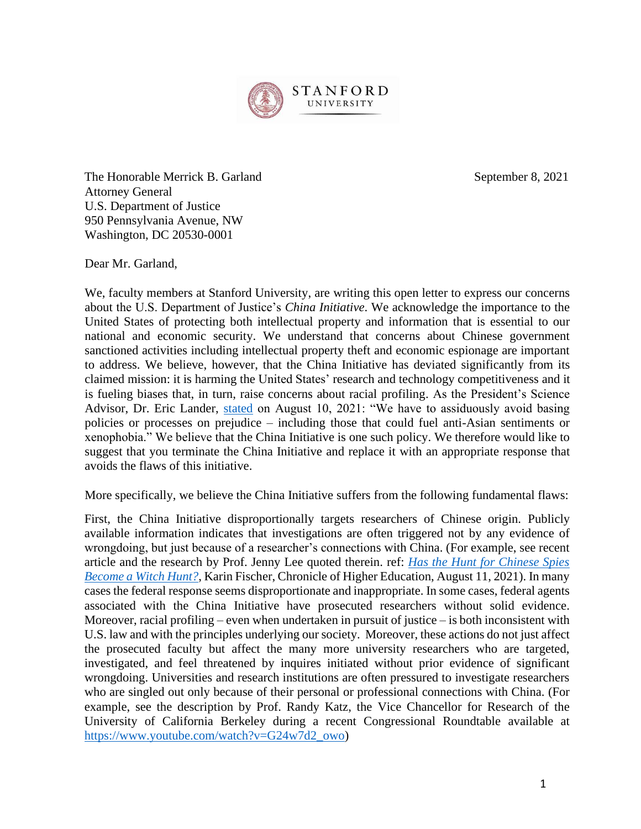

The Honorable Merrick B. Garland September 8, 2021 Attorney General U.S. Department of Justice 950 Pennsylvania Avenue, NW Washington, DC 20530-0001

Dear Mr. Garland,

We, faculty members at Stanford University, are writing this open letter to express our concerns about the U.S. Department of Justice's *China Initiative*. We acknowledge the importance to the United States of protecting both intellectual property and information that is essential to our national and economic security. We understand that concerns about Chinese government sanctioned activities including intellectual property theft and economic espionage are important to address. We believe, however, that the China Initiative has deviated significantly from its claimed mission: it is harming the United States' research and technology competitiveness and it is fueling biases that, in turn, raise concerns about racial profiling. As the President's Science Advisor, Dr. Eric Lander, [stated](https://www.whitehouse.gov/ostp/news-updates/2021/08/10/clear-rules-for-research-security-and-researcher-responsibility/) on August 10, 2021: "We have to assiduously avoid basing policies or processes on prejudice – including those that could fuel anti-Asian sentiments or xenophobia." We believe that the China Initiative is one such policy. We therefore would like to suggest that you terminate the China Initiative and replace it with an appropriate response that avoids the flaws of this initiative.

More specifically, we believe the China Initiative suffers from the following fundamental flaws:

First, the China Initiative disproportionally targets researchers of Chinese origin. Publicly available information indicates that investigations are often triggered not by any evidence of wrongdoing, but just because of a researcher's connections with China. (For example, see recent article and the research by Prof. Jenny Lee quoted therein. ref: *[Has the Hunt for Chinese Spies](https://www.chronicle.com/article/has-the-hunt-for-chinese-spies-become-a-witch-hunt)  [Become a Witch Hunt?](https://www.chronicle.com/article/has-the-hunt-for-chinese-spies-become-a-witch-hunt)*, Karin Fischer, Chronicle of Higher Education, August 11, 2021). In many cases the federal response seems disproportionate and inappropriate. In some cases, federal agents associated with the China Initiative have prosecuted researchers without solid evidence. Moreover, racial profiling – even when undertaken in pursuit of justice – is both inconsistent with U.S. law and with the principles underlying our society. Moreover, these actions do not just affect the prosecuted faculty but affect the many more university researchers who are targeted, investigated, and feel threatened by inquires initiated without prior evidence of significant wrongdoing. Universities and research institutions are often pressured to investigate researchers who are singled out only because of their personal or professional connections with China. (For example, see the description by Prof. Randy Katz, the Vice Chancellor for Research of the University of California Berkeley during a recent Congressional Roundtable available at [https://www.youtube.com/watch?v=G24w7d2\\_owo\)](https://www.youtube.com/watch?v=G24w7d2_owo)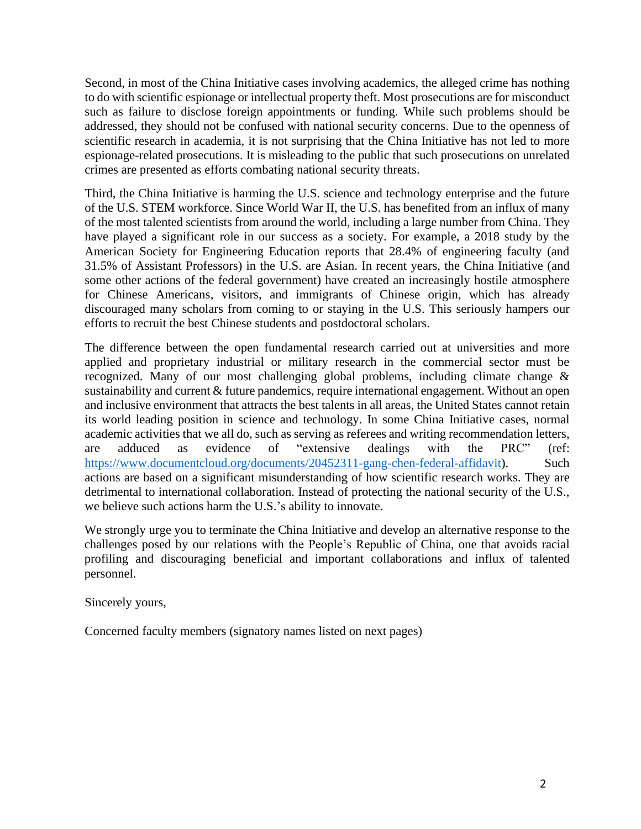Second, in most of the China Initiative cases involving academics, the alleged crime has nothing to do with scientific espionage or intellectual property theft. Most prosecutions are for misconduct such as failure to disclose foreign appointments or funding. While such problems should be addressed, they should not be confused with national security concerns. Due to the openness of scientific research in academia, it is not surprising that the China Initiative has not led to more espionage-related prosecutions. It is misleading to the public that such prosecutions on unrelated crimes are presented as efforts combating national security threats.

Third, the China Initiative is harming the U.S. science and technology enterprise and the future of the U.S. STEM workforce. Since World War II, the U.S. has benefited from an influx of many of the most talented scientists from around the world, including a large number from China. They have played a significant role in our success as a society. For example, a 2018 study by the American Society for Engineering Education reports that 28.4% of engineering faculty (and 31.5% of Assistant Professors) in the U.S. are Asian. In recent years, the China Initiative (and some other actions of the federal government) have created an increasingly hostile atmosphere for Chinese Americans, visitors, and immigrants of Chinese origin, which has already discouraged many scholars from coming to or staying in the U.S. This seriously hampers our efforts to recruit the best Chinese students and postdoctoral scholars.

The difference between the open fundamental research carried out at universities and more applied and proprietary industrial or military research in the commercial sector must be recognized. Many of our most challenging global problems, including climate change & sustainability and current & future pandemics, require international engagement. Without an open and inclusive environment that attracts the best talents in all areas, the United States cannot retain its world leading position in science and technology. In some China Initiative cases, normal academic activities that we all do, such as serving as referees and writing recommendation letters, are adduced as evidence of "extensive dealings with the PRC" (ref: [https://www.documentcloud.org/documents/20452311-gang-chen-federal-affidavit\)](https://www.documentcloud.org/documents/20452311-gang-chen-federal-affidavit). Such actions are based on a significant misunderstanding of how scientific research works. They are detrimental to international collaboration. Instead of protecting the national security of the U.S., we believe such actions harm the U.S.'s ability to innovate.

We strongly urge you to terminate the China Initiative and develop an alternative response to the challenges posed by our relations with the People's Republic of China, one that avoids racial profiling and discouraging beneficial and important collaborations and influx of talented personnel.

Sincerely yours,

Concerned faculty members (signatory names listed on next pages)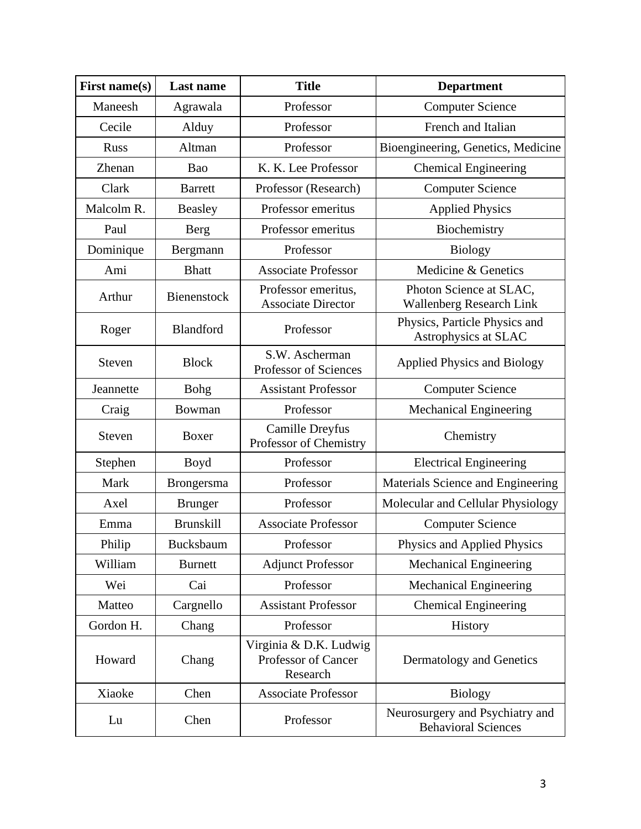| First name(s) | <b>Last name</b>  | <b>Title</b>                                              | <b>Department</b>                                             |
|---------------|-------------------|-----------------------------------------------------------|---------------------------------------------------------------|
| Maneesh       | Agrawala          | Professor                                                 | <b>Computer Science</b>                                       |
| Cecile        | Alduy             | Professor                                                 | French and Italian                                            |
| <b>Russ</b>   | Altman            | Professor                                                 | Bioengineering, Genetics, Medicine                            |
| Zhenan        | Bao               | K. K. Lee Professor                                       | <b>Chemical Engineering</b>                                   |
| Clark         | <b>Barrett</b>    | Professor (Research)                                      | <b>Computer Science</b>                                       |
| Malcolm R.    | Beasley           | Professor emeritus                                        | <b>Applied Physics</b>                                        |
| Paul          | Berg              | Professor emeritus                                        | Biochemistry                                                  |
| Dominique     | Bergmann          | Professor                                                 | <b>Biology</b>                                                |
| Ami           | <b>Bhatt</b>      | <b>Associate Professor</b>                                | Medicine & Genetics                                           |
| Arthur        | Bienenstock       | Professor emeritus,<br><b>Associate Director</b>          | Photon Science at SLAC,<br><b>Wallenberg Research Link</b>    |
| Roger         | Blandford         | Professor                                                 | Physics, Particle Physics and<br>Astrophysics at SLAC         |
| Steven        | <b>Block</b>      | S.W. Ascherman<br>Professor of Sciences                   | <b>Applied Physics and Biology</b>                            |
| Jeannette     | <b>Bohg</b>       | <b>Assistant Professor</b>                                | <b>Computer Science</b>                                       |
| Craig         | Bowman            | Professor                                                 | <b>Mechanical Engineering</b>                                 |
| Steven        | Boxer             | <b>Camille Dreyfus</b><br>Professor of Chemistry          | Chemistry                                                     |
| Stephen       | Boyd              | Professor                                                 | <b>Electrical Engineering</b>                                 |
| Mark          | <b>Brongersma</b> | Professor                                                 | Materials Science and Engineering                             |
| Axel          | <b>Brunger</b>    | Professor                                                 | Molecular and Cellular Physiology                             |
| Emma          | <b>Brunskill</b>  | <b>Associate Professor</b>                                | <b>Computer Science</b>                                       |
| Philip        | Bucksbaum         | Professor                                                 | Physics and Applied Physics                                   |
| William       | <b>Burnett</b>    | <b>Adjunct Professor</b>                                  | <b>Mechanical Engineering</b>                                 |
| Wei           | Cai               | Professor                                                 | <b>Mechanical Engineering</b>                                 |
| Matteo        | Cargnello         | <b>Assistant Professor</b>                                | <b>Chemical Engineering</b>                                   |
| Gordon H.     | Chang             | Professor                                                 | History                                                       |
| Howard        | Chang             | Virginia & D.K. Ludwig<br>Professor of Cancer<br>Research | Dermatology and Genetics                                      |
| Xiaoke        | Chen              | <b>Associate Professor</b>                                | <b>Biology</b>                                                |
| Lu            | Chen              | Professor                                                 | Neurosurgery and Psychiatry and<br><b>Behavioral Sciences</b> |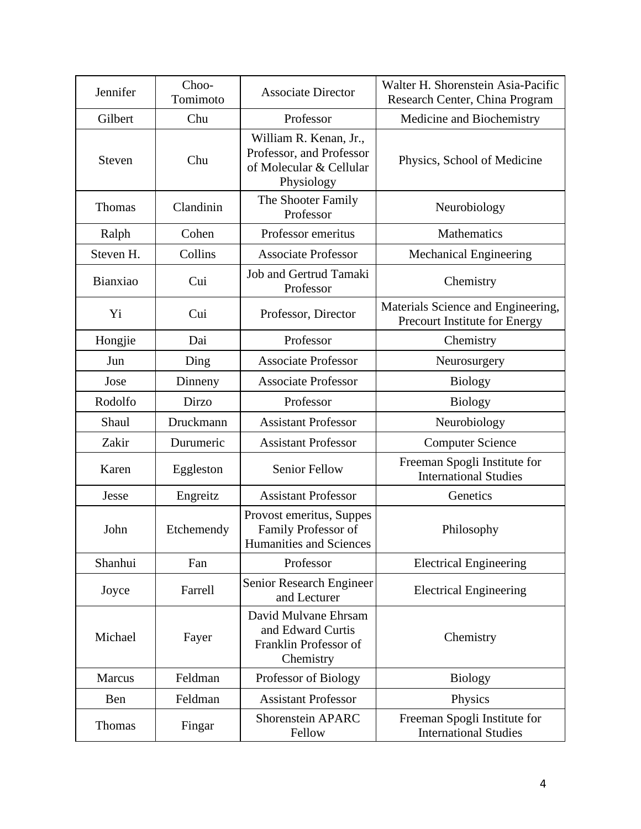| Jennifer  | Choo-<br>Tomimoto | <b>Associate Director</b>                                                                   | Walter H. Shorenstein Asia-Pacific<br>Research Center, China Program |
|-----------|-------------------|---------------------------------------------------------------------------------------------|----------------------------------------------------------------------|
| Gilbert   | Chu               | Professor                                                                                   | Medicine and Biochemistry                                            |
| Steven    | Chu               | William R. Kenan, Jr.,<br>Professor, and Professor<br>of Molecular & Cellular<br>Physiology | Physics, School of Medicine                                          |
| Thomas    | Clandinin         | The Shooter Family<br>Professor                                                             | Neurobiology                                                         |
| Ralph     | Cohen             | Professor emeritus                                                                          | <b>Mathematics</b>                                                   |
| Steven H. | Collins           | <b>Associate Professor</b>                                                                  | <b>Mechanical Engineering</b>                                        |
| Bianxiao  | Cui               | Job and Gertrud Tamaki<br>Professor                                                         | Chemistry                                                            |
| Yi        | Cui               | Professor, Director                                                                         | Materials Science and Engineering,<br>Precourt Institute for Energy  |
| Hongjie   | Dai               | Professor                                                                                   | Chemistry                                                            |
| Jun       | Ding              | <b>Associate Professor</b>                                                                  | Neurosurgery                                                         |
| Jose      | Dinneny           | <b>Associate Professor</b>                                                                  | <b>Biology</b>                                                       |
| Rodolfo   | Dirzo             | Professor                                                                                   | <b>Biology</b>                                                       |
| Shaul     | Druckmann         | <b>Assistant Professor</b>                                                                  | Neurobiology                                                         |
| Zakir     | Durumeric         | <b>Assistant Professor</b>                                                                  | <b>Computer Science</b>                                              |
| Karen     | Eggleston         | <b>Senior Fellow</b>                                                                        | Freeman Spogli Institute for<br><b>International Studies</b>         |
| Jesse     | Engreitz          | <b>Assistant Professor</b>                                                                  | Genetics                                                             |
| John      | Etchemendy        | Provost emeritus, Suppes<br>Family Professor of<br>Humanities and Sciences                  | Philosophy                                                           |
| Shanhui   | Fan               | Professor                                                                                   | <b>Electrical Engineering</b>                                        |
| Joyce     | Farrell           | Senior Research Engineer<br>and Lecturer                                                    | <b>Electrical Engineering</b>                                        |
| Michael   | Fayer             | David Mulvane Ehrsam<br>and Edward Curtis<br>Franklin Professor of<br>Chemistry             | Chemistry                                                            |
| Marcus    | Feldman           | Professor of Biology                                                                        | <b>Biology</b>                                                       |
| Ben       | Feldman           | <b>Assistant Professor</b>                                                                  | Physics                                                              |
| Thomas    | Fingar            | <b>Shorenstein APARC</b><br>Fellow                                                          | Freeman Spogli Institute for<br><b>International Studies</b>         |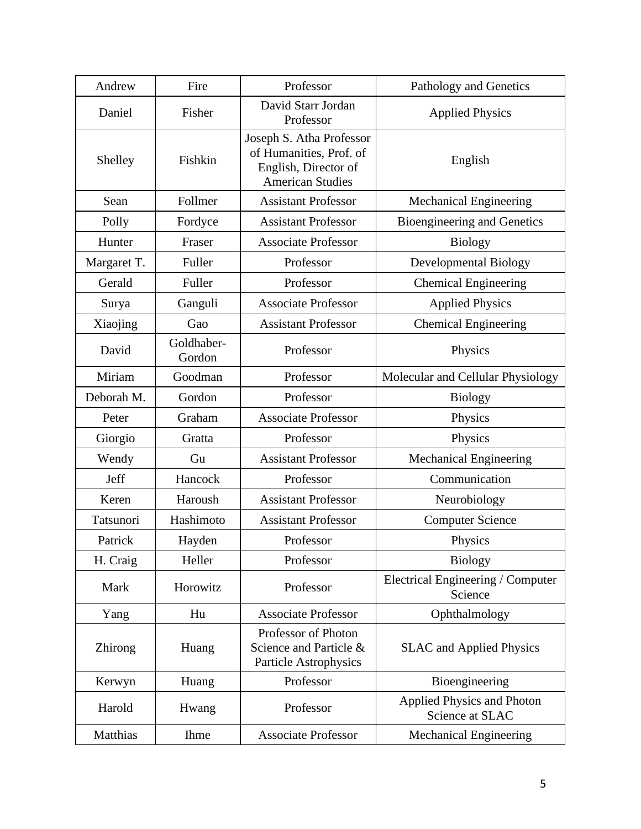| Andrew      | Fire                 | Professor                                                                                              | Pathology and Genetics                               |
|-------------|----------------------|--------------------------------------------------------------------------------------------------------|------------------------------------------------------|
| Daniel      | Fisher               | David Starr Jordan<br>Professor                                                                        | <b>Applied Physics</b>                               |
| Shelley     | Fishkin              | Joseph S. Atha Professor<br>of Humanities, Prof. of<br>English, Director of<br><b>American Studies</b> | English                                              |
| Sean        | Follmer              | <b>Assistant Professor</b>                                                                             | <b>Mechanical Engineering</b>                        |
| Polly       | Fordyce              | <b>Assistant Professor</b>                                                                             | Bioengineering and Genetics                          |
| Hunter      | Fraser               | <b>Associate Professor</b>                                                                             | <b>Biology</b>                                       |
| Margaret T. | Fuller               | Professor                                                                                              | Developmental Biology                                |
| Gerald      | Fuller               | Professor                                                                                              | <b>Chemical Engineering</b>                          |
| Surya       | Ganguli              | <b>Associate Professor</b>                                                                             | <b>Applied Physics</b>                               |
| Xiaojing    | Gao                  | <b>Assistant Professor</b>                                                                             | <b>Chemical Engineering</b>                          |
| David       | Goldhaber-<br>Gordon | Professor                                                                                              | Physics                                              |
| Miriam      | Goodman              | Professor                                                                                              | Molecular and Cellular Physiology                    |
| Deborah M.  | Gordon               | Professor                                                                                              | <b>Biology</b>                                       |
| Peter       | Graham               | <b>Associate Professor</b>                                                                             | Physics                                              |
| Giorgio     | Gratta               | Professor                                                                                              | Physics                                              |
| Wendy       | Gu                   | <b>Assistant Professor</b>                                                                             | <b>Mechanical Engineering</b>                        |
| Jeff        | Hancock              | Professor                                                                                              | Communication                                        |
| Keren       | Haroush              | <b>Assistant Professor</b>                                                                             | Neurobiology                                         |
| Tatsunori   | Hashimoto            | <b>Assistant Professor</b>                                                                             | <b>Computer Science</b>                              |
| Patrick     | Hayden               | Professor                                                                                              | Physics                                              |
| H. Craig    | Heller               | Professor                                                                                              | <b>Biology</b>                                       |
| Mark        | Horowitz             | Professor                                                                                              | Electrical Engineering / Computer<br>Science         |
| Yang        | Hu                   | <b>Associate Professor</b>                                                                             | Ophthalmology                                        |
| Zhirong     | Huang                | Professor of Photon<br>Science and Particle &<br>Particle Astrophysics                                 | <b>SLAC</b> and Applied Physics                      |
| Kerwyn      | Huang                | Professor                                                                                              | Bioengineering                                       |
| Harold      | Hwang                | Professor                                                                                              | <b>Applied Physics and Photon</b><br>Science at SLAC |
| Matthias    | <b>Ihme</b>          | <b>Associate Professor</b>                                                                             | <b>Mechanical Engineering</b>                        |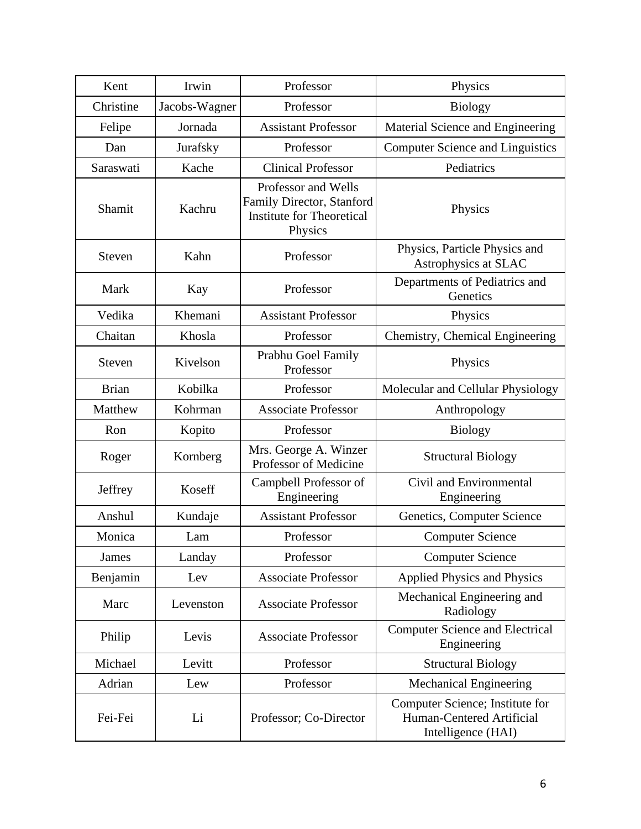| Kent          | Irwin         | Professor                                                                                       | Physics                                                                            |
|---------------|---------------|-------------------------------------------------------------------------------------------------|------------------------------------------------------------------------------------|
| Christine     | Jacobs-Wagner | Professor                                                                                       | <b>Biology</b>                                                                     |
| Felipe        | Jornada       | <b>Assistant Professor</b>                                                                      | Material Science and Engineering                                                   |
| Dan           | Jurafsky      | Professor                                                                                       | <b>Computer Science and Linguistics</b>                                            |
| Saraswati     | Kache         | <b>Clinical Professor</b>                                                                       | Pediatrics                                                                         |
| Shamit        | Kachru        | Professor and Wells<br>Family Director, Stanford<br><b>Institute for Theoretical</b><br>Physics | Physics                                                                            |
| Steven        | Kahn          | Professor                                                                                       | Physics, Particle Physics and<br>Astrophysics at SLAC                              |
| Mark          | Kay           | Professor                                                                                       | Departments of Pediatrics and<br>Genetics                                          |
| Vedika        | Khemani       | <b>Assistant Professor</b>                                                                      | Physics                                                                            |
| Chaitan       | Khosla        | Professor                                                                                       | Chemistry, Chemical Engineering                                                    |
| <b>Steven</b> | Kivelson      | Prabhu Goel Family<br>Professor                                                                 | Physics                                                                            |
| <b>Brian</b>  | Kobilka       | Professor                                                                                       | Molecular and Cellular Physiology                                                  |
| Matthew       | Kohrman       | <b>Associate Professor</b>                                                                      | Anthropology                                                                       |
| Ron           | Kopito        | Professor                                                                                       | <b>Biology</b>                                                                     |
| Roger         | Kornberg      | Mrs. George A. Winzer<br>Professor of Medicine                                                  | <b>Structural Biology</b>                                                          |
| Jeffrey       | Koseff        | Campbell Professor of<br>Engineering                                                            | Civil and Environmental<br>Engineering                                             |
| Anshul        | Kundaje       | <b>Assistant Professor</b>                                                                      | Genetics, Computer Science                                                         |
| Monica        | Lam           | Professor                                                                                       | <b>Computer Science</b>                                                            |
| <b>James</b>  | Landay        | Professor                                                                                       | <b>Computer Science</b>                                                            |
| Benjamin      | Lev           | <b>Associate Professor</b>                                                                      | <b>Applied Physics and Physics</b>                                                 |
| Marc          | Levenston     | <b>Associate Professor</b>                                                                      | Mechanical Engineering and<br>Radiology                                            |
| Philip        | Levis         | <b>Associate Professor</b>                                                                      | <b>Computer Science and Electrical</b><br>Engineering                              |
| Michael       | Levitt        | Professor                                                                                       | <b>Structural Biology</b>                                                          |
| Adrian        | Lew           | Professor                                                                                       | <b>Mechanical Engineering</b>                                                      |
| Fei-Fei       | Li            | Professor; Co-Director                                                                          | Computer Science; Institute for<br>Human-Centered Artificial<br>Intelligence (HAI) |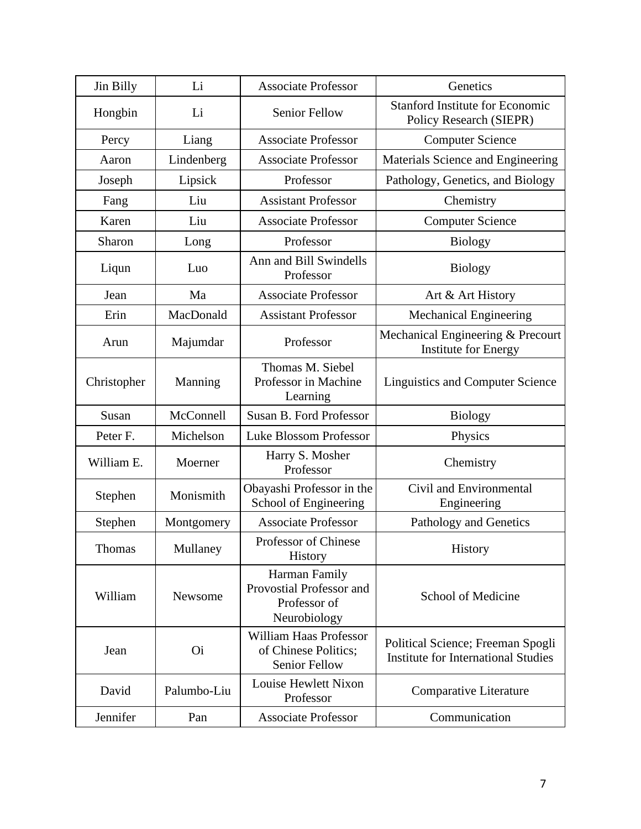| Jin Billy   | Li             | <b>Associate Professor</b>                                                | Genetics                                                                        |
|-------------|----------------|---------------------------------------------------------------------------|---------------------------------------------------------------------------------|
| Hongbin     | Li             | <b>Senior Fellow</b>                                                      | <b>Stanford Institute for Economic</b><br>Policy Research (SIEPR)               |
| Percy       | Liang          | <b>Associate Professor</b>                                                | <b>Computer Science</b>                                                         |
| Aaron       | Lindenberg     | <b>Associate Professor</b>                                                | Materials Science and Engineering                                               |
| Joseph      | Lipsick        | Professor                                                                 | Pathology, Genetics, and Biology                                                |
| Fang        | Liu            | <b>Assistant Professor</b>                                                | Chemistry                                                                       |
| Karen       | Liu            | <b>Associate Professor</b>                                                | <b>Computer Science</b>                                                         |
| Sharon      | Long           | Professor                                                                 | <b>Biology</b>                                                                  |
| Liqun       | Luo            | Ann and Bill Swindells<br>Professor                                       | <b>Biology</b>                                                                  |
| Jean        | Ma             | <b>Associate Professor</b>                                                | Art & Art History                                                               |
| Erin        | MacDonald      | <b>Assistant Professor</b>                                                | <b>Mechanical Engineering</b>                                                   |
| Arun        | Majumdar       | Professor                                                                 | Mechanical Engineering & Precourt<br><b>Institute for Energy</b>                |
| Christopher | Manning        | Thomas M. Siebel<br>Professor in Machine<br>Learning                      | <b>Linguistics and Computer Science</b>                                         |
| Susan       | McConnell      | Susan B. Ford Professor                                                   | <b>Biology</b>                                                                  |
| Peter F.    | Michelson      | Luke Blossom Professor                                                    | Physics                                                                         |
| William E.  | Moerner        | Harry S. Mosher<br>Professor                                              | Chemistry                                                                       |
| Stephen     | Monismith      | Obayashi Professor in the<br>School of Engineering                        | Civil and Environmental<br>Engineering                                          |
| Stephen     | Montgomery     | <b>Associate Professor</b>                                                | Pathology and Genetics                                                          |
| Thomas      | Mullaney       | Professor of Chinese<br>History                                           | History                                                                         |
| William     | Newsome        | Harman Family<br>Provostial Professor and<br>Professor of<br>Neurobiology | School of Medicine                                                              |
| Jean        | O <sub>i</sub> | <b>William Haas Professor</b><br>of Chinese Politics;<br>Senior Fellow    | Political Science; Freeman Spogli<br><b>Institute for International Studies</b> |
| David       | Palumbo-Liu    | Louise Hewlett Nixon<br>Professor                                         | Comparative Literature                                                          |
| Jennifer    | Pan            | <b>Associate Professor</b>                                                | Communication                                                                   |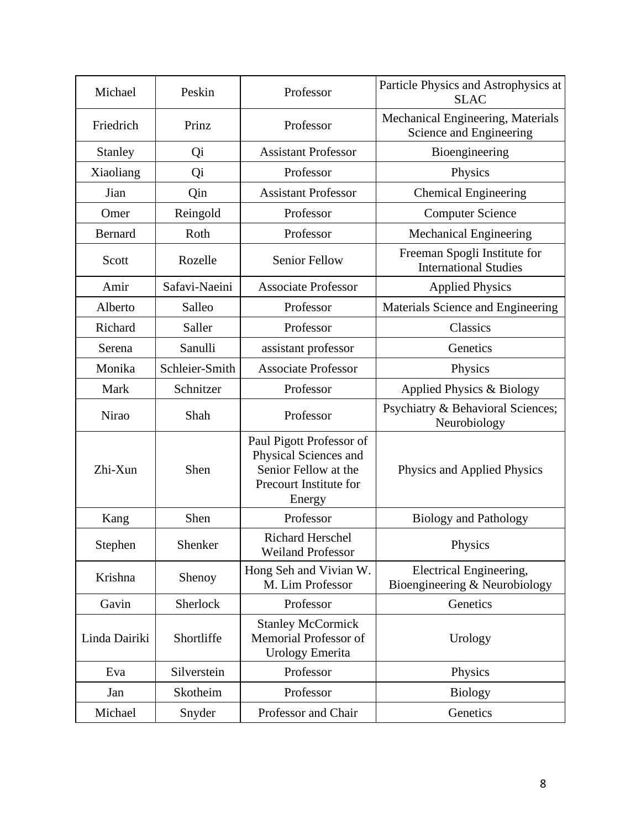| Michael        | Peskin         | Professor                                                                   | Particle Physics and Astrophysics at<br><b>SLAC</b>          |
|----------------|----------------|-----------------------------------------------------------------------------|--------------------------------------------------------------|
| Friedrich      | Prinz          | Professor                                                                   | Mechanical Engineering, Materials<br>Science and Engineering |
| <b>Stanley</b> | Qi             | <b>Assistant Professor</b>                                                  | Bioengineering                                               |
| Xiaoliang      | Qi             | Professor                                                                   | Physics                                                      |
| Jian           | Qin            | <b>Assistant Professor</b>                                                  | <b>Chemical Engineering</b>                                  |
| Omer           | Reingold       | Professor                                                                   | <b>Computer Science</b>                                      |
| <b>Bernard</b> | Roth           | Professor                                                                   | <b>Mechanical Engineering</b>                                |
| Scott          | Rozelle        | <b>Senior Fellow</b>                                                        | Freeman Spogli Institute for<br><b>International Studies</b> |
| Amir           | Safavi-Naeini  | <b>Associate Professor</b>                                                  | <b>Applied Physics</b>                                       |
| Alberto        | Salleo         | Professor                                                                   | Materials Science and Engineering                            |
| Richard        | Saller         | Professor                                                                   | Classics                                                     |
| Serena         | Sanulli        | assistant professor                                                         | Genetics                                                     |
| Monika         | Schleier-Smith | <b>Associate Professor</b>                                                  | Physics                                                      |
| Mark           | Schnitzer      | Professor                                                                   | Applied Physics & Biology                                    |
| Nirao          | Shah           | Professor                                                                   | Psychiatry & Behavioral Sciences;<br>Neurobiology            |
| Zhi-Xun        | Shen           | Paul Pigott Professor of<br>Physical Sciences and<br>Senior Fellow at the   | Physics and Applied Physics                                  |
|                |                | Precourt Institute for<br>Energy                                            |                                                              |
| Kang           | Shen           | Professor                                                                   | <b>Biology and Pathology</b>                                 |
| Stephen        | Shenker        | <b>Richard Herschel</b><br><b>Weiland Professor</b>                         | Physics                                                      |
| Krishna        | Shenoy         | Hong Seh and Vivian W.<br>M. Lim Professor                                  | Electrical Engineering,<br>Bioengineering & Neurobiology     |
| Gavin          | Sherlock       | Professor                                                                   | Genetics                                                     |
| Linda Dairiki  | Shortliffe     | <b>Stanley McCormick</b><br>Memorial Professor of<br><b>Urology Emerita</b> | Urology                                                      |
| Eva            | Silverstein    | Professor                                                                   | Physics                                                      |
| Jan            | Skotheim       | Professor                                                                   | <b>Biology</b>                                               |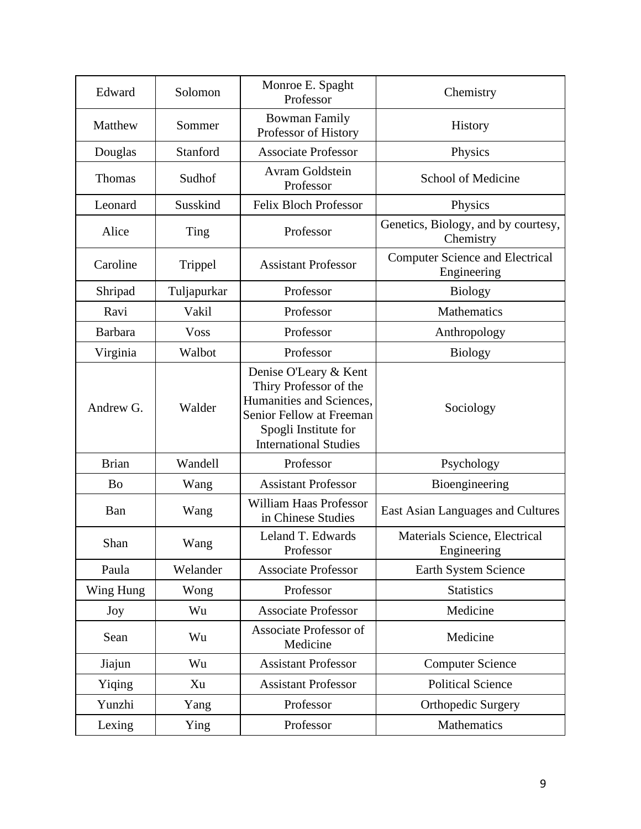| Edward         | Solomon     | Monroe E. Spaght<br>Professor                                                                                                                                   | Chemistry                                             |
|----------------|-------------|-----------------------------------------------------------------------------------------------------------------------------------------------------------------|-------------------------------------------------------|
| Matthew        | Sommer      | <b>Bowman Family</b><br>Professor of History                                                                                                                    | History                                               |
| Douglas        | Stanford    | <b>Associate Professor</b>                                                                                                                                      | Physics                                               |
| Thomas         | Sudhof      | <b>Avram Goldstein</b><br>Professor                                                                                                                             | School of Medicine                                    |
| Leonard        | Susskind    | <b>Felix Bloch Professor</b>                                                                                                                                    | Physics                                               |
| Alice          | Ting        | Professor                                                                                                                                                       | Genetics, Biology, and by courtesy,<br>Chemistry      |
| Caroline       | Trippel     | <b>Assistant Professor</b>                                                                                                                                      | <b>Computer Science and Electrical</b><br>Engineering |
| Shripad        | Tuljapurkar | Professor                                                                                                                                                       | <b>Biology</b>                                        |
| Ravi           | Vakil       | Professor                                                                                                                                                       | <b>Mathematics</b>                                    |
| <b>Barbara</b> | <b>Voss</b> | Professor                                                                                                                                                       | Anthropology                                          |
| Virginia       | Walbot      | Professor                                                                                                                                                       | <b>Biology</b>                                        |
| Andrew G.      | Walder      | Denise O'Leary & Kent<br>Thiry Professor of the<br>Humanities and Sciences,<br>Senior Fellow at Freeman<br>Spogli Institute for<br><b>International Studies</b> | Sociology                                             |
| <b>Brian</b>   | Wandell     | Professor                                                                                                                                                       | Psychology                                            |
| <b>Bo</b>      | Wang        | <b>Assistant Professor</b>                                                                                                                                      | Bioengineering                                        |
| Ban            | Wang        | William Haas Professor<br>in Chinese Studies                                                                                                                    | East Asian Languages and Cultures                     |
| Shan           | Wang        | Leland T. Edwards<br>Professor                                                                                                                                  | Materials Science, Electrical<br>Engineering          |
| Paula          | Welander    | <b>Associate Professor</b>                                                                                                                                      | Earth System Science                                  |
| Wing Hung      | Wong        | Professor                                                                                                                                                       | <b>Statistics</b>                                     |
| Joy            | Wu          | <b>Associate Professor</b>                                                                                                                                      | Medicine                                              |
| Sean           | Wu          | Associate Professor of<br>Medicine                                                                                                                              | Medicine                                              |
| Jiajun         | Wu          | <b>Assistant Professor</b>                                                                                                                                      | <b>Computer Science</b>                               |
| Yiqing         | Xu          | <b>Assistant Professor</b>                                                                                                                                      | <b>Political Science</b>                              |
| Yunzhi         | Yang        | Professor                                                                                                                                                       | <b>Orthopedic Surgery</b>                             |
| Lexing         | Ying        | Professor                                                                                                                                                       | Mathematics                                           |